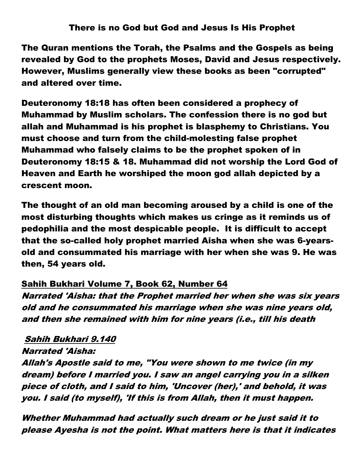## There is no God but God and Jesus Is His Prophet

The Quran mentions the Torah, the Psalms and the Gospels as being revealed by God to the prophets Moses, David and Jesus respectively. However, Muslims generally view these books as been "corrupted" and altered over time.

Deuteronomy 18:18 has often been considered a prophecy of Muhammad by Muslim scholars. The confession there is no god but allah and Muhammad is his prophet is blasphemy to Christians. You must choose and turn from the child-molesting false prophet Muhammad who falsely claims to be the prophet spoken of in Deuteronomy 18:15 & 18. Muhammad did not worship the Lord God of Heaven and Earth he worshiped the moon god allah depicted by a crescent moon.

The thought of an old man becoming aroused by a child is one of the most disturbing thoughts which makes us cringe as it reminds us of pedophilia and the most despicable people. It is difficult to accept that the so-called holy prophet married Aisha when she was 6-yearsold and consummated his marriage with her when she was 9. He was then, 54 years old.

## Sahih Bukhari Volume 7, Book 62, Number 64

Narrated 'Aisha: that the Prophet married her when she was six years old and he consummated his marriage when she was nine years old, and then she remained with him for nine years (i.e., till his death

## Sahih Bukhari 9.140

Narrated 'Aisha:

Allah's Apostle said to me, "You were shown to me twice (in my dream) before I married you. I saw an angel carrying you in a silken piece of cloth, and I said to him, 'Uncover (her),' and behold, it was you. I said (to myself), 'If this is from Allah, then it must happen.

Whether Muhammad had actually such dream or he just said it to please Ayesha is not the point. What matters here is that it indicates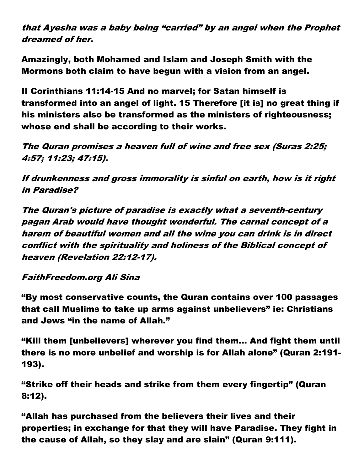## that Ayesha was a baby being "carried" by an angel when the Prophet dreamed of her.

Amazingly, both Mohamed and Islam and Joseph Smith with the Mormons both claim to have begun with a vision from an angel.

II Corinthians 11:14-15 And no marvel; for Satan himself is transformed into an angel of light. 15 Therefore [it is] no great thing if his ministers also be transformed as the ministers of righteousness; whose end shall be according to their works.

The Quran promises a heaven full of wine and free sex (Suras 2:25; 4:57; 11:23; 47:15).

If drunkenness and gross immorality is sinful on earth, how is it right in Paradise?

The Quran's picture of paradise is exactly what a seventh-century pagan Arab would have thought wonderful. The carnal concept of a harem of beautiful women and all the wine you can drink is in direct conflict with the spirituality and holiness of the Biblical concept of heaven (Revelation 22:12-17).

FaithFreedom.org Ali Sina

"By most conservative counts, the Quran contains over 100 passages that call Muslims to take up arms against unbelievers" ie: Christians and Jews "in the name of Allah."

"Kill them [unbelievers] wherever you find them… And fight them until there is no more unbelief and worship is for Allah alone" (Quran 2:191- 193).

"Strike off their heads and strike from them every fingertip" (Quran 8:12).

"Allah has purchased from the believers their lives and their properties; in exchange for that they will have Paradise. They fight in the cause of Allah, so they slay and are slain" (Quran 9:111).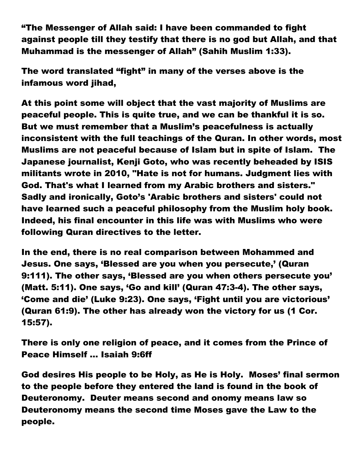"The Messenger of Allah said: I have been commanded to fight against people till they testify that there is no god but Allah, and that Muhammad is the messenger of Allah" (Sahih Muslim 1:33).

The word translated "fight" in many of the verses above is the infamous word jihad,

At this point some will object that the vast majority of Muslims are peaceful people. This is quite true, and we can be thankful it is so. But we must remember that a Muslim's peacefulness is actually inconsistent with the full teachings of the Quran. In other words, most Muslims are not peaceful because of Islam but in spite of Islam. The Japanese journalist, Kenji Goto, who was recently beheaded by ISIS militants wrote in 2010, "Hate is not for humans. Judgment lies with God. That's what I learned from my Arabic brothers and sisters." Sadly and ironically, Goto's 'Arabic brothers and sisters' could not have learned such a peaceful philosophy from the Muslim holy book. Indeed, his final encounter in this life was with Muslims who were following Quran directives to the letter.

In the end, there is no real comparison between Mohammed and Jesus. One says, 'Blessed are you when you persecute,' (Quran 9:111). The other says, 'Blessed are you when others persecute you' (Matt. 5:11). One says, 'Go and kill' (Quran 47:3-4). The other says, 'Come and die' (Luke 9:23). One says, 'Fight until you are victorious' (Quran 61:9). The other has already won the victory for us (1 Cor. 15:57).

There is only one religion of peace, and it comes from the Prince of Peace Himself … Isaiah 9:6ff

God desires His people to be Holy, as He is Holy. Moses' final sermon to the people before they entered the land is found in the book of Deuteronomy. Deuter means second and onomy means law so Deuteronomy means the second time Moses gave the Law to the people.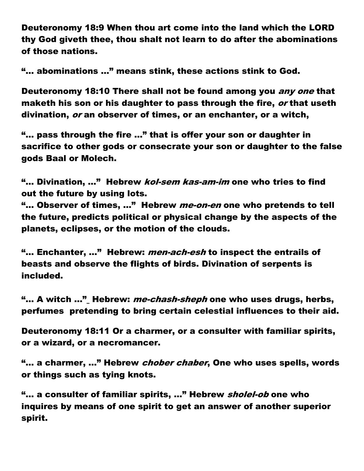Deuteronomy 18:9 When thou art come into the land which the LORD thy God giveth thee, thou shalt not learn to do after the abominations of those nations.

"… abominations …" means stink, these actions stink to God.

Deuteronomy 18:10 There shall not be found among you *any one* that maketh his son or his daughter to pass through the fire, *or* that useth divination, or an observer of times, or an enchanter, or a witch,

"… pass through the fire …" that is offer your son or daughter in sacrifice to other gods or consecrate your son or daughter to the false gods Baal or Molech.

"... Divination, ..." Hebrew *kol-sem kas-am-im* one who tries to find out the future by using lots.

"... Observer of times, ..." Hebrew *me-on-en* one who pretends to tell the future, predicts political or physical change by the aspects of the planets, eclipses, or the motion of the clouds.

"... Enchanter, ..." Hebrew: *men-ach-esh* to inspect the entrails of beasts and observe the flights of birds. Divination of serpents is included.

"... A witch ..." Hebrew: *me-chash-sheph* one who uses drugs, herbs, perfumes pretending to bring certain celestial influences to their aid.

Deuteronomy 18:11 Or a charmer, or a consulter with familiar spirits, or a wizard, or a necromancer.

"... a charmer, ..." Hebrew *chober chaber*, One who uses spells, words or things such as tying knots.

"... a consulter of familiar spirits, ..." Hebrew sholel-ob one who inquires by means of one spirit to get an answer of another superior spirit.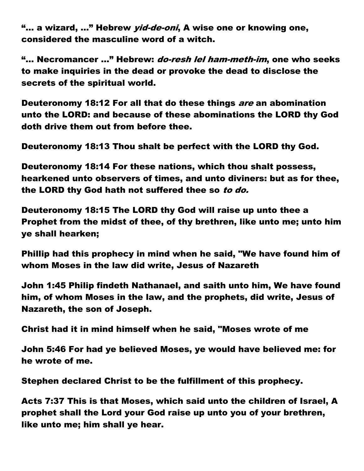"... a wizard, ..." Hebrew *yid-de-oni*, A wise one or knowing one, considered the masculine word of a witch.

"... Necromancer ..." Hebrew: *do-resh lel ham-meth-im*, one who seeks to make inquiries in the dead or provoke the dead to disclose the secrets of the spiritual world.

Deuteronomy 18:12 For all that do these things are an abomination unto the LORD: and because of these abominations the LORD thy God doth drive them out from before thee.

Deuteronomy 18:13 Thou shalt be perfect with the LORD thy God.

Deuteronomy 18:14 For these nations, which thou shalt possess, hearkened unto observers of times, and unto diviners: but as for thee, the LORD thy God hath not suffered thee so to do.

Deuteronomy 18:15 The LORD thy God will raise up unto thee a Prophet from the midst of thee, of thy brethren, like unto me; unto him ye shall hearken;

Phillip had this prophecy in mind when he said, "We have found him of whom Moses in the law did write, Jesus of Nazareth

John 1:45 Philip findeth Nathanael, and saith unto him, We have found him, of whom Moses in the law, and the prophets, did write, Jesus of Nazareth, the son of Joseph.

Christ had it in mind himself when he said, "Moses wrote of me

John 5:46 For had ye believed Moses, ye would have believed me: for he wrote of me.

Stephen declared Christ to be the fulfillment of this prophecy.

Acts 7:37 This is that Moses, which said unto the children of Israel, A prophet shall the Lord your God raise up unto you of your brethren, like unto me; him shall ye hear.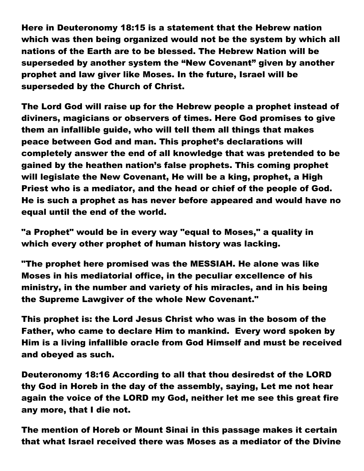Here in Deuteronomy 18:15 is a statement that the Hebrew nation which was then being organized would not be the system by which all nations of the Earth are to be blessed. The Hebrew Nation will be superseded by another system the "New Covenant" given by another prophet and law giver like Moses. In the future, Israel will be superseded by the Church of Christ.

The Lord God will raise up for the Hebrew people a prophet instead of diviners, magicians or observers of times. Here God promises to give them an infallible guide, who will tell them all things that makes peace between God and man. This prophet's declarations will completely answer the end of all knowledge that was pretended to be gained by the heathen nation's false prophets. This coming prophet will legislate the New Covenant, He will be a king, prophet, a High Priest who is a mediator, and the head or chief of the people of God. He is such a prophet as has never before appeared and would have no equal until the end of the world.

"a Prophet" would be in every way "equal to Moses," a quality in which every other prophet of human history was lacking.

"The prophet here promised was the MESSIAH. He alone was like Moses in his mediatorial office, in the peculiar excellence of his ministry, in the number and variety of his miracles, and in his being the Supreme Lawgiver of the whole New Covenant."

This prophet is: the Lord Jesus Christ who was in the bosom of the Father, who came to declare Him to mankind. Every word spoken by Him is a living infallible oracle from God Himself and must be received and obeyed as such.

Deuteronomy 18:16 According to all that thou desiredst of the LORD thy God in Horeb in the day of the assembly, saying, Let me not hear again the voice of the LORD my God, neither let me see this great fire any more, that I die not.

The mention of Horeb or Mount Sinai in this passage makes it certain that what Israel received there was Moses as a mediator of the Divine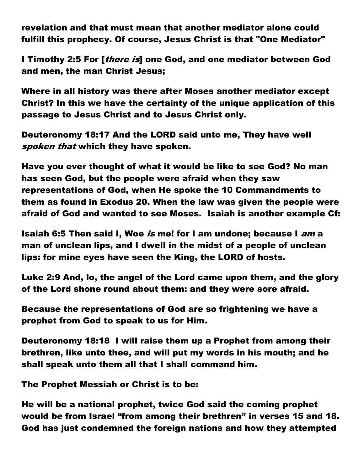revelation and that must mean that another mediator alone could fulfill this prophecy. Of course, Jesus Christ is that "One Mediator"

I Timothy 2:5 For [*there is*] one God, and one mediator between God and men, the man Christ Jesus;

Where in all history was there after Moses another mediator except Christ? In this we have the certainty of the unique application of this passage to Jesus Christ and to Jesus Christ only.

Deuteronomy 18:17 And the LORD said unto me, They have well spoken that which they have spoken.

Have you ever thought of what it would be like to see God? No man has seen God, but the people were afraid when they saw representations of God, when He spoke the 10 Commandments to them as found in Exodus 20. When the law was given the people were afraid of God and wanted to see Moses. Isaiah is another example Cf:

Isaiah 6:5 Then said I, Woe is me! for I am undone; because I am a man of unclean lips, and I dwell in the midst of a people of unclean lips: for mine eyes have seen the King, the LORD of hosts.

Luke 2:9 And, lo, the angel of the Lord came upon them, and the glory of the Lord shone round about them: and they were sore afraid.

Because the representations of God are so frightening we have a prophet from God to speak to us for Him.

Deuteronomy 18:18 I will raise them up a Prophet from among their brethren, like unto thee, and will put my words in his mouth; and he shall speak unto them all that I shall command him.

The Prophet Messiah or Christ is to be:

He will be a national prophet, twice God said the coming prophet would be from Israel "from among their brethren" in verses 15 and 18. God has just condemned the foreign nations and how they attempted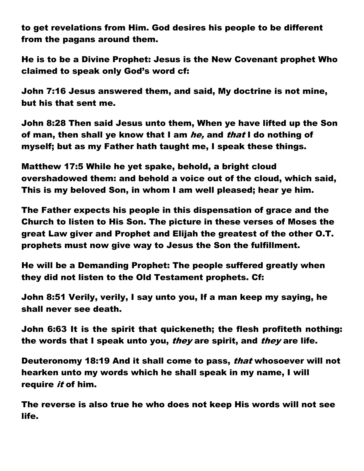to get revelations from Him. God desires his people to be different from the pagans around them.

He is to be a Divine Prophet: Jesus is the New Covenant prophet Who claimed to speak only God's word cf:

John 7:16 Jesus answered them, and said, My doctrine is not mine, but his that sent me.

John 8:28 Then said Jesus unto them, When ye have lifted up the Son of man, then shall ye know that I am he, and that I do nothing of myself; but as my Father hath taught me, I speak these things.

Matthew 17:5 While he yet spake, behold, a bright cloud overshadowed them: and behold a voice out of the cloud, which said, This is my beloved Son, in whom I am well pleased; hear ye him.

The Father expects his people in this dispensation of grace and the Church to listen to His Son. The picture in these verses of Moses the great Law giver and Prophet and Elijah the greatest of the other O.T. prophets must now give way to Jesus the Son the fulfillment.

He will be a Demanding Prophet: The people suffered greatly when they did not listen to the Old Testament prophets. Cf:

John 8:51 Verily, verily, I say unto you, If a man keep my saying, he shall never see death.

John 6:63 It is the spirit that quickeneth; the flesh profiteth nothing: the words that I speak unto you, *they* are spirit, and *they* are life.

Deuteronomy 18:19 And it shall come to pass, that whosoever will not hearken unto my words which he shall speak in my name, I will require *it* of him.

The reverse is also true he who does not keep His words will not see life.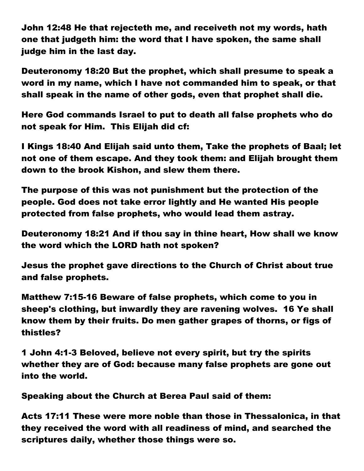John 12:48 He that rejecteth me, and receiveth not my words, hath one that judgeth him: the word that I have spoken, the same shall judge him in the last day.

Deuteronomy 18:20 But the prophet, which shall presume to speak a word in my name, which I have not commanded him to speak, or that shall speak in the name of other gods, even that prophet shall die.

Here God commands Israel to put to death all false prophets who do not speak for Him. This Elijah did cf:

I Kings 18:40 And Elijah said unto them, Take the prophets of Baal; let not one of them escape. And they took them: and Elijah brought them down to the brook Kishon, and slew them there.

The purpose of this was not punishment but the protection of the people. God does not take error lightly and He wanted His people protected from false prophets, who would lead them astray.

Deuteronomy 18:21 And if thou say in thine heart, How shall we know the word which the LORD hath not spoken?

Jesus the prophet gave directions to the Church of Christ about true and false prophets.

Matthew 7:15-16 Beware of false prophets, which come to you in sheep's clothing, but inwardly they are ravening wolves. 16 Ye shall know them by their fruits. Do men gather grapes of thorns, or figs of thistles?

1 John 4:1-3 Beloved, believe not every spirit, but try the spirits whether they are of God: because many false prophets are gone out into the world.

Speaking about the Church at Berea Paul said of them:

Acts 17:11 These were more noble than those in Thessalonica, in that they received the word with all readiness of mind, and searched the scriptures daily, whether those things were so.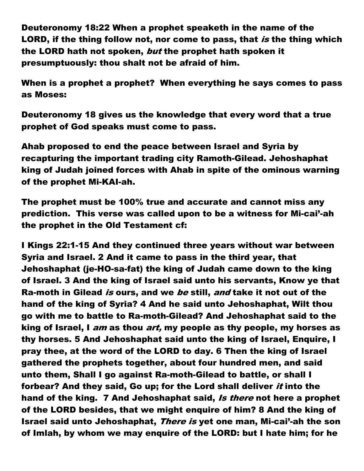Deuteronomy 18:22 When a prophet speaketh in the name of the LORD, if the thing follow not, nor come to pass, that is the thing which the LORD hath not spoken, but the prophet hath spoken it presumptuously: thou shalt not be afraid of him.

When is a prophet a prophet? When everything he says comes to pass as Moses:

Deuteronomy 18 gives us the knowledge that every word that a true prophet of God speaks must come to pass.

Ahab proposed to end the peace between Israel and Syria by recapturing the important trading city Ramoth-Gilead. Jehoshaphat king of Judah joined forces with Ahab in spite of the ominous warning of the prophet Mi-KAI-ah.

The prophet must be 100% true and accurate and cannot miss any prediction. This verse was called upon to be a witness for Mi-cai'-ah the prophet in the Old Testament cf:

I Kings 22:1-15 And they continued three years without war between Syria and Israel. 2 And it came to pass in the third year, that Jehoshaphat (je-HO-sa-fat) the king of Judah came down to the king of Israel. 3 And the king of Israel said unto his servants, Know ye that Ra-moth in Gilead is ours, and we be still, and take it not out of the hand of the king of Syria? 4 And he said unto Jehoshaphat, Wilt thou go with me to battle to Ra-moth-Gilead? And Jehoshaphat said to the king of Israel, I *am* as thou *art*, my people as thy people, my horses as thy horses. 5 And Jehoshaphat said unto the king of Israel, Enquire, I pray thee, at the word of the LORD to day. 6 Then the king of Israel gathered the prophets together, about four hundred men, and said unto them, Shall I go against Ra-moth-Gilead to battle, or shall I forbear? And they said, Go up; for the Lord shall deliver *it* into the hand of the king. 7 And Jehoshaphat said, Is there not here a prophet of the LORD besides, that we might enquire of him? 8 And the king of Israel said unto Jehoshaphat, There is yet one man, Mi-cai'-ah the son of Imlah, by whom we may enquire of the LORD: but I hate him; for he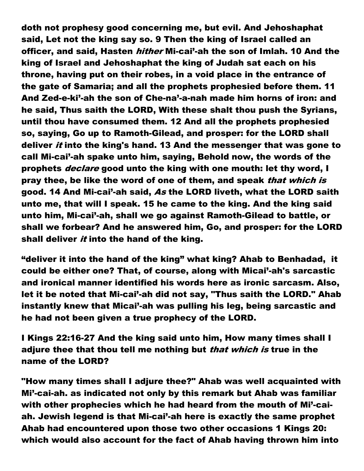doth not prophesy good concerning me, but evil. And Jehoshaphat said, Let not the king say so. 9 Then the king of Israel called an officer, and said, Hasten *hither* Mi-cai'-ah the son of Imlah. 10 And the king of Israel and Jehoshaphat the king of Judah sat each on his throne, having put on their robes, in a void place in the entrance of the gate of Samaria; and all the prophets prophesied before them. 11 And Zed-e-ki'-ah the son of Che-na'-a-nah made him horns of iron: and he said, Thus saith the LORD, With these shalt thou push the Syrians, until thou have consumed them. 12 And all the prophets prophesied so, saying, Go up to Ramoth-Gilead, and prosper: for the LORD shall deliver *it* into the king's hand. 13 And the messenger that was gone to call Mi-cai'-ah spake unto him, saying, Behold now, the words of the prophets *declare* good unto the king with one mouth: let thy word, I pray thee, be like the word of one of them, and speak that which is good. 14 And Mi-cai'-ah said, As the LORD liveth, what the LORD saith unto me, that will I speak. 15 he came to the king. And the king said unto him, Mi-cai'-ah, shall we go against Ramoth-Gilead to battle, or shall we forbear? And he answered him, Go, and prosper: for the LORD shall deliver *it* into the hand of the king.

"deliver it into the hand of the king" what king? Ahab to Benhadad, it could be either one? That, of course, along with Micai'-ah's sarcastic and ironical manner identified his words here as ironic sarcasm. Also, let it be noted that Mi-cai'-ah did not say, "Thus saith the LORD." Ahab instantly knew that Micai'-ah was pulling his leg, being sarcastic and he had not been given a true prophecy of the LORD.

I Kings 22:16-27 And the king said unto him, How many times shall I adjure thee that thou tell me nothing but *that which is* true in the name of the LORD?

"How many times shall I adjure thee?" Ahab was well acquainted with Mi'-cai-ah. as indicated not only by this remark but Ahab was familiar with other prophecies which he had heard from the mouth of Mi'-caiah. Jewish legend is that Mi-cai'-ah here is exactly the same prophet Ahab had encountered upon those two other occasions 1 Kings 20: which would also account for the fact of Ahab having thrown him into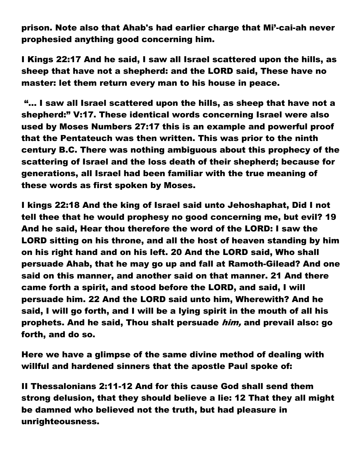prison. Note also that Ahab's had earlier charge that Mi'-cai-ah never prophesied anything good concerning him.

I Kings 22:17 And he said, I saw all Israel scattered upon the hills, as sheep that have not a shepherd: and the LORD said, These have no master: let them return every man to his house in peace.

 "… I saw all Israel scattered upon the hills, as sheep that have not a shepherd:" V:17. These identical words concerning Israel were also used by Moses Numbers 27:17 this is an example and powerful proof that the Pentateuch was then written. This was prior to the ninth century B.C. There was nothing ambiguous about this prophecy of the scattering of Israel and the loss death of their shepherd; because for generations, all Israel had been familiar with the true meaning of these words as first spoken by Moses.

I kings 22:18 And the king of Israel said unto Jehoshaphat, Did I not tell thee that he would prophesy no good concerning me, but evil? 19 And he said, Hear thou therefore the word of the LORD: I saw the LORD sitting on his throne, and all the host of heaven standing by him on his right hand and on his left. 20 And the LORD said, Who shall persuade Ahab, that he may go up and fall at Ramoth-Gilead? And one said on this manner, and another said on that manner. 21 And there came forth a spirit, and stood before the LORD, and said, I will persuade him. 22 And the LORD said unto him, Wherewith? And he said, I will go forth, and I will be a lying spirit in the mouth of all his prophets. And he said, Thou shalt persuade him, and prevail also: go forth, and do so.

Here we have a glimpse of the same divine method of dealing with willful and hardened sinners that the apostle Paul spoke of:

II Thessalonians 2:11-12 And for this cause God shall send them strong delusion, that they should believe a lie: 12 That they all might be damned who believed not the truth, but had pleasure in unrighteousness.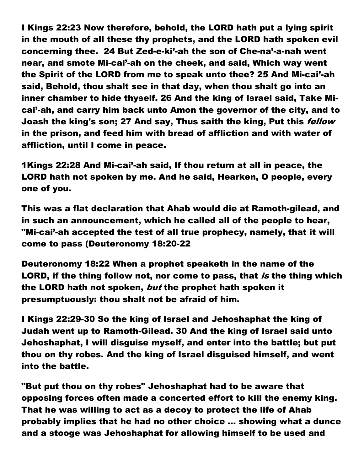I Kings 22:23 Now therefore, behold, the LORD hath put a lying spirit in the mouth of all these thy prophets, and the LORD hath spoken evil concerning thee. 24 But Zed-e-ki'-ah the son of Che-na'-a-nah went near, and smote Mi-cai'-ah on the cheek, and said, Which way went the Spirit of the LORD from me to speak unto thee? 25 And Mi-cai'-ah said, Behold, thou shalt see in that day, when thou shalt go into an inner chamber to hide thyself. 26 And the king of Israel said, Take Micai'-ah, and carry him back unto Amon the governor of the city, and to Joash the king's son; 27 And say, Thus saith the king, Put this *fellow* in the prison, and feed him with bread of affliction and with water of affliction, until I come in peace.

1Kings 22:28 And Mi-cai'-ah said, If thou return at all in peace, the LORD hath not spoken by me. And he said, Hearken, O people, every one of you.

This was a flat declaration that Ahab would die at Ramoth-gilead, and in such an announcement, which he called all of the people to hear, "Mi-cai'-ah accepted the test of all true prophecy, namely, that it will come to pass (Deuteronomy 18:20-22

Deuteronomy 18:22 When a prophet speaketh in the name of the LORD, if the thing follow not, nor come to pass, that is the thing which the LORD hath not spoken, but the prophet hath spoken it presumptuously: thou shalt not be afraid of him.

I Kings 22:29-30 So the king of Israel and Jehoshaphat the king of Judah went up to Ramoth-Gilead. 30 And the king of Israel said unto Jehoshaphat, I will disguise myself, and enter into the battle; but put thou on thy robes. And the king of Israel disguised himself, and went into the battle.

"But put thou on thy robes" Jehoshaphat had to be aware that opposing forces often made a concerted effort to kill the enemy king. That he was willing to act as a decoy to protect the life of Ahab probably implies that he had no other choice … showing what a dunce and a stooge was Jehoshaphat for allowing himself to be used and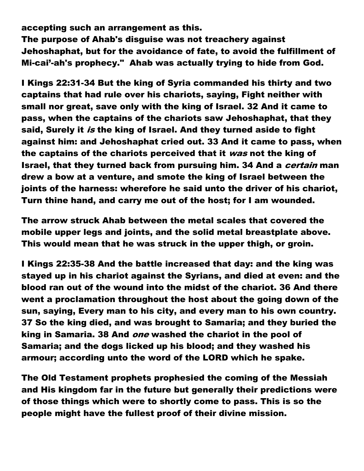accepting such an arrangement as this. The purpose of Ahab's disguise was not treachery against Jehoshaphat, but for the avoidance of fate, to avoid the fulfillment of Mi-cai'-ah's prophecy." Ahab was actually trying to hide from God.

I Kings 22:31-34 But the king of Syria commanded his thirty and two captains that had rule over his chariots, saying, Fight neither with small nor great, save only with the king of Israel. 32 And it came to pass, when the captains of the chariots saw Jehoshaphat, that they said, Surely it is the king of Israel. And they turned aside to fight against him: and Jehoshaphat cried out. 33 And it came to pass, when the captains of the chariots perceived that it was not the king of Israel, that they turned back from pursuing him. 34 And a *certain* man drew a bow at a venture, and smote the king of Israel between the joints of the harness: wherefore he said unto the driver of his chariot, Turn thine hand, and carry me out of the host; for I am wounded.

The arrow struck Ahab between the metal scales that covered the mobile upper legs and joints, and the solid metal breastplate above. This would mean that he was struck in the upper thigh, or groin.

I Kings 22:35-38 And the battle increased that day: and the king was stayed up in his chariot against the Syrians, and died at even: and the blood ran out of the wound into the midst of the chariot. 36 And there went a proclamation throughout the host about the going down of the sun, saying, Every man to his city, and every man to his own country. 37 So the king died, and was brought to Samaria; and they buried the king in Samaria. 38 And *one* washed the chariot in the pool of Samaria; and the dogs licked up his blood; and they washed his armour; according unto the word of the LORD which he spake.

The Old Testament prophets prophesied the coming of the Messiah and His kingdom far in the future but generally their predictions were of those things which were to shortly come to pass. This is so the people might have the fullest proof of their divine mission.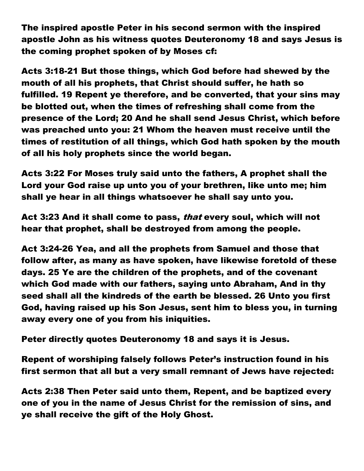The inspired apostle Peter in his second sermon with the inspired apostle John as his witness quotes Deuteronomy 18 and says Jesus is the coming prophet spoken of by Moses cf:

Acts 3:18-21 But those things, which God before had shewed by the mouth of all his prophets, that Christ should suffer, he hath so fulfilled. 19 Repent ye therefore, and be converted, that your sins may be blotted out, when the times of refreshing shall come from the presence of the Lord; 20 And he shall send Jesus Christ, which before was preached unto you: 21 Whom the heaven must receive until the times of restitution of all things, which God hath spoken by the mouth of all his holy prophets since the world began.

Acts 3:22 For Moses truly said unto the fathers, A prophet shall the Lord your God raise up unto you of your brethren, like unto me; him shall ye hear in all things whatsoever he shall say unto you.

Act 3:23 And it shall come to pass, *that* every soul, which will not hear that prophet, shall be destroyed from among the people.

Act 3:24-26 Yea, and all the prophets from Samuel and those that follow after, as many as have spoken, have likewise foretold of these days. 25 Ye are the children of the prophets, and of the covenant which God made with our fathers, saying unto Abraham, And in thy seed shall all the kindreds of the earth be blessed. 26 Unto you first God, having raised up his Son Jesus, sent him to bless you, in turning away every one of you from his iniquities.

Peter directly quotes Deuteronomy 18 and says it is Jesus.

Repent of worshiping falsely follows Peter's instruction found in his first sermon that all but a very small remnant of Jews have rejected:

Acts 2:38 Then Peter said unto them, Repent, and be baptized every one of you in the name of Jesus Christ for the remission of sins, and ye shall receive the gift of the Holy Ghost.